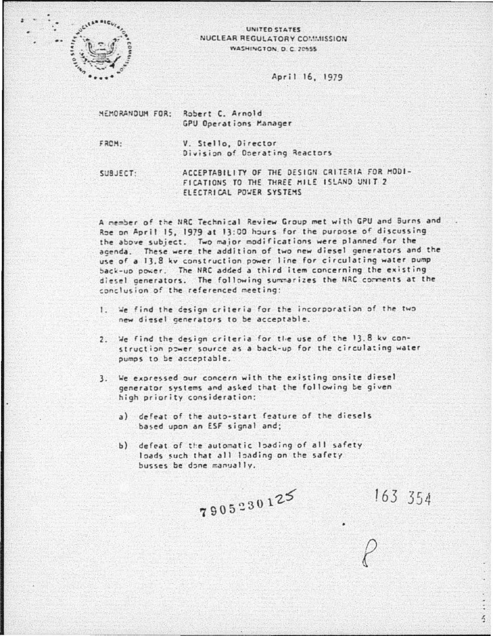

## UNITED STATES NUCLEAR REGULATORY COMMISSION WASHINGTON D. C. 20555

## April 16, 1979

MEMORANDUM FOR: Robert C. Arnold GPU Operations Manager

FROM:

V. Stello, Director Division of Operating Reactors

ACCEPTABILITY OF THE DESIGN CRITERIA FOR MODI-SUBJECT: FICATIONS TO THE THREE MILE ISLAND UNIT 2 ELECTRICAL POWER SYSTEMS

A nember of the NRC Technical Review Group met with GPU and Burns and Roe on April 15, 1979 at 13:00 hours for the purpose of discussing the above subject. Two major modifications were planned for the agenda. These were the addition of two new diesel generators and the use of a 13.8 kv construction power line for circulating water pump back-up power. The NRC added a third item concerning the existing diesel generators. The following summarizes the NRC comments at the conclusion of the referenced meeting:

- 1. We find the design criteria for the incorporation of the two new diesel generators to be acceptable.
- 2. We find the design criteria for the use of the 13.8 kv construction power source as a back-up for the circulating water pumps to be acceptable.
- 3. We expressed our concern with the existing onsite diesel generator systems and asked that the following be given high priority consideration:
	- a) defeat of the auto-start feature of the diesels based upon an ESF signal and;
	- b) defeat of the automatic loading of all safety loads such that all loading on the safety busses be done manually.

7905230125

 $163, 354$ 

 $\frac{1}{2}$